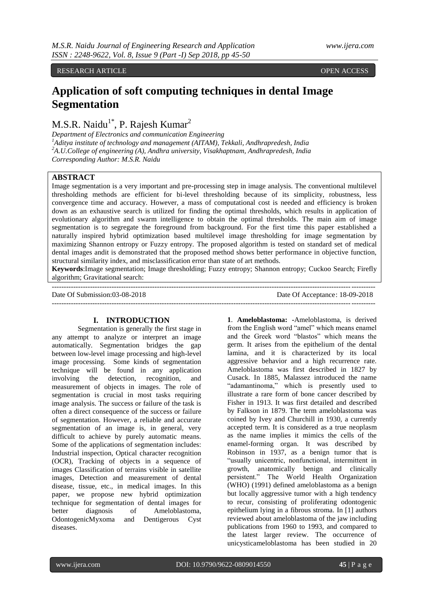RESEARCH ARTICLE **OPEN ACCESS** 

# **Application of soft computing techniques in dental Image Segmentation**

 $M.S.R.$  Naidu<sup>1\*</sup>, P. Rajesh Kumar<sup>2</sup>

*Department of Electronics and communication Engineering <sup>1</sup>Aditya institute of technology and management (AITAM), Tekkali, Andhrapredesh, India <sup>2</sup>A.U.College of engineering (A), Andhra university, Visakhaptnam, Andhrapredesh, India Corresponding Author: M.S.R. Naidu*

---------------------------------------------------------------------------------------------------------------------------------------

# **ABSTRACT**

Image segmentation is a very important and pre-processing step in image analysis. The conventional multilevel thresholding methods are efficient for bi-level thresholding because of its simplicity, robustness, less convergence time and accuracy. However, a mass of computational cost is needed and efficiency is broken down as an exhaustive search is utilized for finding the optimal thresholds, which results in application of evolutionary algorithm and swarm intelligence to obtain the optimal thresholds. The main aim of image segmentation is to segregate the foreground from background. For the first time this paper established a naturally inspired hybrid optimization based multilevel image thresholding for image segmentation by maximizing Shannon entropy or Fuzzy entropy. The proposed algorithm is tested on standard set of medical dental images andit is demonstrated that the proposed method shows better performance in objective function, structural similarity index, and misclassification error than state of art methods.

**Keywords**:Image segmentation; Image thresholding; Fuzzy entropy; Shannon entropy; Cuckoo Search; Firefly algorithm; Gravitational search:

Date Of Submission:03-08-2018 Date Of Acceptance: 18-09-2018

---------------------------------------------------------------------------------------------------------------------------------------

#### **I. INTRODUCTION**

Segmentation is generally the first stage in any attempt to analyze or interpret an image automatically. Segmentation bridges the gap between low-level image processing and high-level image processing. Some kinds of segmentation technique will be found in any application involving the detection, recognition, and measurement of objects in images. The role of segmentation is crucial in most tasks requiring image analysis. The success or failure of the task is often a direct consequence of the success or failure of segmentation. However, a reliable and accurate segmentation of an image is, in general, very difficult to achieve by purely automatic means. Some of the applications of segmentation includes: Industrial inspection, Optical character recognition (OCR), Tracking of objects in a sequence of images Classification of terrains visible in satellite images, Detection and measurement of dental disease, tissue, etc., in medical images. In this paper, we propose new hybrid optimization technique for segmentation of dental images for better diagnosis of Ameloblastoma, OdontogenicMyxoma and Dentigerous Cyst diseases.

**1**. **Ameloblastoma: -**Ameloblastoma, is derived from the English word "amel" which means enamel and the Greek word "blastos" which means the germ. It arises from the epithelium of the dental lamina, and it is characterized by its local aggressive behavior and a high recurrence rate. Ameloblastoma was first described in 1827 by Cusack. In 1885, Malassez introduced the name "adamantinoma," which is presently used to illustrate a rare form of bone cancer described by Fisher in 1913. It was first detailed and described by Falkson in 1879. The term ameloblastoma was coined by Ivey and Churchill in 1930, a currently accepted term. It is considered as a true neoplasm as the name implies it mimics the cells of the enamel-forming organ. It was described by Robinson in 1937, as a benign tumor that is "usually unicentric, nonfunctional, intermittent in growth, anatomically benign and clinically persistent." The World Health Organization (WHO) (1991) defined ameloblastoma as a benign but locally aggressive tumor with a high tendency to recur, consisting of proliferating odontogenic epithelium lying in a fibrous stroma. In [1] authors reviewed about ameloblastoma of the jaw including publications from 1960 to 1993, and compared to the latest larger review. The occurrence of unicysticameloblastoma has been studied in 20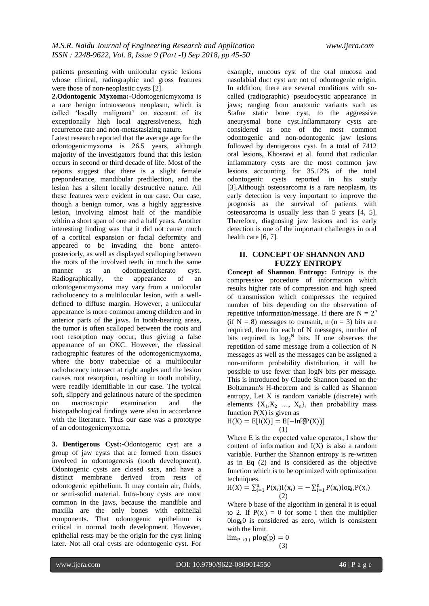patients presenting with unilocular cystic lesions whose clinical, radiographic and gross features were those of non-neoplastic cysts [2].

**2.Odontogenic Myxoma:-**Odontogenicmyxoma is a rare benign intraosseous neoplasm, which is called "locally malignant" on account of its exceptionally high local aggressiveness, high recurrence rate and non-metastasizing nature.

Latest research reported that the average age for the odontogenicmyxoma is 26.5 years, although majority of the investigators found that this lesion occurs in second or third decade of life. Most of the reports suggest that there is a slight female preponderance, mandibular predilection, and the lesion has a silent locally destructive nature. All these features were evident in our case. Our case, though a benign tumor, was a highly aggressive lesion, involving almost half of the mandible within a short span of one and a half years. Another interesting finding was that it did not cause much of a cortical expansion or facial deformity and appeared to be invading the bone anteroposteriorly, as well as displayed scalloping between the roots of the involved teeth, in much the same manner as an odontogenickerato cyst. Radiographically, the appearance of an odontogenicmyxoma may vary from a unilocular radiolucency to a multilocular lesion, with a welldefined to diffuse margin. However, a unilocular appearance is more common among children and in anterior parts of the jaws. In tooth-bearing areas, the tumor is often scalloped between the roots and root resorption may occur, thus giving a false appearance of an OKC. However, the classical radiographic features of the odontogenicmyxoma, where the bony trabeculae of a multilocular radiolucency intersect at right angles and the lesion causes root resorption, resulting in tooth mobility, were readily identifiable in our case. The typical soft, slippery and gelatinous nature of the specimen on macroscopic examination and the histopathological findings were also in accordance with the literature. Thus our case was a prototype of an odontogenicmyxoma.

**3. Dentigerous Cyst:-**Odontogenic cyst are a group of jaw cysts that are formed from tissues involved in odontogenesis (tooth development). Odontogenic cysts are closed sacs, and have a distinct membrane derived from rests of odontogenic epithelium. It may contain air, fluids, or semi-solid material. Intra-bony cysts are most common in the jaws, because the mandible and maxilla are the only bones with epithelial components. That odontogenic epithelium is critical in normal tooth development. However, epithelial rests may be the origin for the cyst lining later. Not all oral cysts are odontogenic cyst. For

example, mucous cyst of the oral mucosa and nasolabial duct cyst are not of odontogenic origin. In addition, there are several conditions with socalled (radiographic) 'pseudocystic appearance' in jaws; ranging from anatomic variants such as Stafne static bone cyst, to the aggressive aneurysmal bone cyst.Inflammatory cysts are considered as one of the most common odontogenic and non-odontogenic jaw lesions followed by dentigerous cyst. In a total of 7412 oral lesions, Khosravi et al. found that radicular inflammatory cysts are the most common jaw lesions accounting for 35.12% of the total odontogenic cysts reported in his study [3].Although osteosarcoma is a rare neoplasm, its early detection is very important to improve the prognosis as the survival of patients with osteosarcoma is usually less than 5 years [4, 5]. Therefore, diagnosing jaw lesions and its early detection is one of the important challenges in oral health care [6, 7].

# **II. CONCEPT OF SHANNON AND FUZZY ENTROPY**

**Concept of Shannon Entropy:** Entropy is the compressive procedure of information which results higher rate of compression and high speed of transmission which compresses the required number of bits depending on the observation of repetitive information/message. If there are  $N = 2<sup>n</sup>$ (if  $N = 8$ ) messages to transmit, n (n = 3) bits are required, then for each of N messages, number of bits required is  $log_2^N$  bits. If one observes the repetition of same message from a collection of N messages as well as the messages can be assigned a non-uniform probability distribution, it will be possible to use fewer than logN bits per message. This is introduced by Claude Shannon based on the Boltzmann's Η-theorem and is called as Shannon entropy, Let X is random variable (discrete) with elements  $\{X_1, X_2, \ldots, X_n\}$ , then probability mass function  $P(X)$  is given as

$$
H(X) = E[I(X)] = E[-\ln[\Phi(X))]
$$
  
(1)

Where E is the expected value operator, I show the content of information and  $I(X)$  is also a random variable. Further the Shannon entropy is re-written as in Eq (2) and is considered as the objective function which is to be optimized with optimization techniques.

$$
H(X) = \sum_{i=1}^{n} P(x_i)I(x_i) = -\sum_{i=1}^{n} P(x_i)log_b P(x_i)
$$
  
(2)

Where b base of the algorithm in general it is equal to 2. If  $P(x_i) = 0$  for some i then the multiplier  $0\log_b 0$  is considered as zero, which is consistent with the limit.

 $\lim_{p\to 0+}$  plog(p) = 0 (3)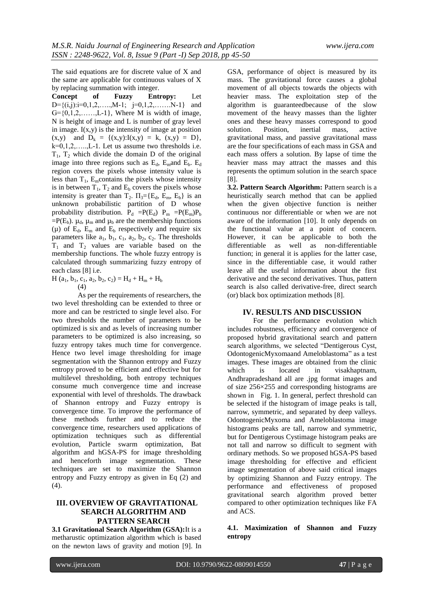The said equations are for discrete value of X and the same are applicable for continuous values of X by replacing summation with integer.

**Concept of Fuzzy Entropy:** Let  $D=\{(i,j): i=0,1,2,\ldots,M-1; i=0,1,2,\ldots,N-1\}$  and  $G=\{0,1,2,\ldots,L-1\}$ , Where M is width of image, N is height of image and L is number of gray level in image.  $I(x,y)$  is the intensity of image at position  $(x,y)$  and  $D_k = \{(x,y): I(x,y) = k, (x,y) = D\},$  $k=0,1,2,\ldots,L-1$ . Let us assume two thresholds i.e.  $T_1$ ,  $T_2$  which divide the domain D of the original image into three regions such as  $E_d$ ,  $E_m$  and  $E_b$ .  $E_d$ region covers the pixels whose intensity value is less than  $T_1$ , E<sub>m</sub>contains the pixels whose intensity is in between  $T_1$ ,  $T_2$  and  $E_b$  covers the pixels whose intensity is greater than  $T_2$ .  $\Pi_3 = \{E_d, E_m, E_b\}$  is an unknown probabilistic partition of D whose probability distribution.  $P_d = P(E_d) P_m = P(E_m)P_b$  $=$ P(E<sub>b</sub>).  $\mu_d$ ,  $\mu_m$  and  $\mu_b$  are the membership functions ( $\mu$ ) of E<sub>d</sub>, E<sub>m</sub> and E<sub>b</sub> respectively and require six parameters like  $a_1$ ,  $b_1$ ,  $c_1$ ,  $a_2$ ,  $b_2$ ,  $c_2$ . The thresholds  $T_1$  and  $T_2$  values are variable based on the membership functions. The whole fuzzy entropy is calculated through summarizing fuzzy entropy of each class [8] i.e.

 $H$  (a<sub>1</sub>, b<sub>1</sub>, c<sub>1</sub>, a<sub>2</sub>, b<sub>2</sub>, c<sub>2</sub>) = H<sub>d</sub> + H<sub>m</sub> + H<sub>b</sub> (4)

As per the requirements of researchers, the two level thresholding can be extended to three or more and can be restricted to single level also. For two thresholds the number of parameters to be optimized is six and as levels of increasing number parameters to be optimized is also increasing, so fuzzy entropy takes much time for convergence. Hence two level image thresholding for image segmentation with the Shannon entropy and Fuzzy entropy proved to be efficient and effective but for multilevel thresholding, both entropy techniques consume much convergence time and increase exponential with level of thresholds. The drawback of Shannon entropy and Fuzzy entropy is convergence time. To improve the performance of these methods further and to reduce the convergence time, researchers used applications of optimization techniques such as differential evolution, Particle swarm optimization, Bat algorithm and hGSA-PS for image thresholding and henceforth image segmentation. These techniques are set to maximize the Shannon entropy and Fuzzy entropy as given in Eq (2) and  $(4)$ .

# **III. OVERVIEW OF GRAVITATIONAL SEARCH ALGORITHM AND PATTERN SEARCH**

**3.1 Gravitational Search Algorithm (GSA):**It is a metharustic optimization algorithm which is based on the newton laws of gravity and motion [9]. In GSA, performance of object is measured by its mass. The gravitational force causes a global movement of all objects towards the objects with heavier mass. The exploitation step of the algorithm is guaranteedbecause of the slow movement of the heavy masses than the lighter ones and these heavy masses correspond to good solution. Position, inertial mass, active gravitational mass, and passive gravitational mass are the four specifications of each mass in GSA and each mass offers a solution. By lapse of time the heavier mass may attract the masses and this represents the optimum solution in the search space [8].

**3.2. Pattern Search Algorithm:** Pattern search is a heuristically search method that can be applied when the given objective function is neither continuous nor differentiable or when we are not aware of the information [10]. It only depends on the functional value at a point of concern. However, it can be applicable to both the differentiable as well as non-differentiable function; in general it is applies for the latter case, since in the differentiable case, it would rather leave all the useful information about the first derivative and the second derivatives. Thus, pattern search is also called derivative-free, direct search (or) black box optimization methods [8].

#### **IV. RESULTS AND DISCUSSION**

For the performance evolution which includes robustness, efficiency and convergence of proposed hybrid gravitational search and pattern search algorithms, we selected "Dentigerous Cyst, OdontogenicMyxomaand Ameloblastoma" as a test images. These images are obtained from the clinic which is located in visakhaptnam, Andhrapradeshand all are .jpg format images and of size 256×255 and corresponding histograms are shown in Fig. 1. In general, perfect threshold can be selected if the histogram of image peaks is tall, narrow, symmetric, and separated by deep valleys. OdontogenicMyxoma and Ameloblastoma image histograms peaks are tall, narrow and symmetric, but for Dentigerous Cystimage histogram peaks are not tall and narrow so difficult to segment with ordinary methods. So we proposed hGSA-PS based image thresholding for effective and efficient image segmentation of above said critical images by optimizing Shannon and Fuzzy entropy. The performance and effectiveness of proposed gravitational search algorithm proved better compared to other optimization techniques like FA and ACS.

**4.1. Maximization of Shannon and Fuzzy entropy**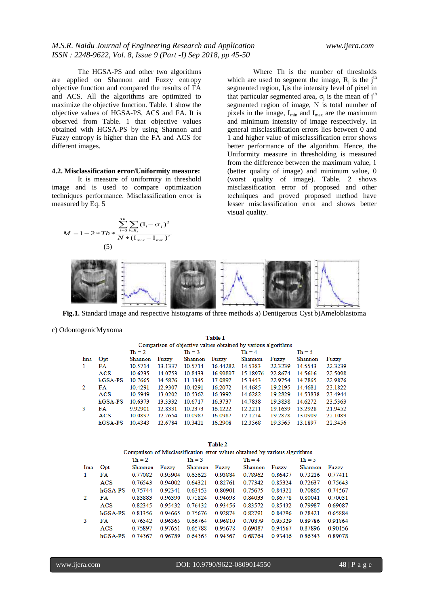The HGSA-PS and other two algorithms are applied on Shannon and Fuzzy entropy objective function and compared the results of FA and ACS. All the algorithms are optimized to maximize the objective function. Table. 1 show the objective values of HGSA-PS, ACS and FA. It is observed from Table. 1 that objective values obtained with HGSA-PS by using Shannon and Fuzzy entropy is higher than the FA and ACS for different images.

#### **4.2. Misclassification error/Uniformity measure:**

It is measure of uniformity in threshold image and is used to compare optimization techniques performance. Misclassification error is measured by Eq. 5  $\sum_{j=0}^{Th} \sum_{i \in R_j} (\mathbf{I}_i - \epsilon)$ 

 $1 - 2 * Th * \frac{\sum_{j=0}^{N} \sum_{i \in R_j} (I_i - \sigma_j)^2}{N * (I_{\text{max}} - I_{\text{min}})}$  $M = 1 - 2 * Th * \frac{\displaystyle\sum_{j=0}^{Th} \sum_{i \in R_j} (\text{I}_i - \sigma_j)}{N * (\text{I}_{\text{max}} - \text{I}_{\text{min}})}$ = 1 - 2 \* Th \*  $\frac{\sum_{j=0}^{m} \sum_{i \in R_j} (\mathbf{I}_i - \sigma_j)}{N * (\mathbf{I}_{\text{max}} - \mathbf{I}_{\text{min}})}$ 

hGSA-PS 10.4343

2

12.6784

10.3421

 $\frac{1}{0} \frac{1}{i \in R_j}$  \*  $(\mathbf{I}_{\text{max}} - \mathbf{I}_{\text{min}})^2$ 

 $(I_i - \sigma_j)$ 

Where Th is the number of thresholds which are used to segment the image,  $R_j$  is the j<sup>th</sup> segmented region, I<sub>i</sub> is the intensity level of pixel in that particular segmented area,  $\sigma_j$  is the mean of j<sup>th</sup> segmented region of image, N is total number of pixels in the image,  $I_{min}$  and  $I_{max}$  are the maximum and minimum intensity of image respectively. In general misclassification errors lies between 0 and 1 and higher value of misclassification error shows better performance of the algorithm. Hence, the Uniformity measure in thresholding is measured from the difference between the maximum value, 1 (better quality of image) and minimum value, 0 (worst quality of image). Table. 2 shows misclassification error of proposed and other techniques and proved proposed method have lesser misclassification error and shows better visual quality.



**Fig.1.** Standard image and respective histograms of three methods a) Dentigerous Cyst b)Ameloblastoma

c) OdontogenicMyxoma

Table 1 Comparison of objective values obtained by various algorithms  $Th = 2$  $Th = 4$  $Th = 5$  $Th = 3$ Ima Opt Shannon Fuzzy Shannon Fuzzy Shannon Fuzzy Shannon Fuzzy 22.3239 22.3239  $\mathbf{1}$ **FA** 10.5714 13.1337 10.5714 16.44282 14.5383 14.5543 **ACS** 10.6235 14.0753 10.8433 16.99897 15.18976 22.8674 14.5616 22.5098 hGSA-PS 10.7665 11.1345 17.0897 22.9754 22.9876 14.5876 15.3453 14.7865  $\mathcal{D}$ FA 10.4291 12.9307 10.4291 16.2072 14.4685 19.2195 14.4681 23.1822 **ACS** 10.5949 13.0202 10.5362 16.3992 14.6282 19.2829 14.53838 23.4944 hGSA-PS 10.6373 13.3332 10.6717 16.3737 14.7838 19.3838 14.6272 23 5363  $\overline{3}$ 9.92901 10.2373 19.1639 13.2928 21.9452 **FA** 12.8331 16 1222 12.2211  $ACS$ 10 0897 12.7654 10 0987 16 0987 12, 12.74 19 2878 13 0909 22.1089

16.2908

12.3568

19.3565 13.1897

22.3456

| Table 2 |                                                                             |          |         |          |         |          |         |          |         |  |  |  |
|---------|-----------------------------------------------------------------------------|----------|---------|----------|---------|----------|---------|----------|---------|--|--|--|
|         | Comparison of Misclassification error values obtained by various algorithms |          |         |          |         |          |         |          |         |  |  |  |
|         |                                                                             | $Th = 2$ |         | $Th = 3$ |         | $Th = 4$ |         | $Th = 5$ |         |  |  |  |
| Ima     | Opt                                                                         | Shannon  | Fuzzy   | Shannon  | Fuzzy   | Shannon  | Fuzzy   | Shannon  | Fuzzy   |  |  |  |
| 1.      | FA                                                                          | 0.77082  | 0.95904 | 0.65623  | 0.93884 | 0.78962  | 0.86437 | 0.73216  | 0.77411 |  |  |  |
|         | ACS                                                                         | 0.76543  | 0.94002 | 0.64321  | 0.82761 | 0.77342  | 0.85324 | 0.72637  | 0.75643 |  |  |  |
|         | hGSA-PS                                                                     | 0 75744  | 092341  | 0.63453  | 0.80901 | 0.75675  | 0.84321 | 0.70865  | 0.74567 |  |  |  |
| 2       | FA                                                                          | 0.83883  | 0.96390 | 0.75824  | 0.94698 | 0.84033  | 0.86778 | 0.80041  | 0.70031 |  |  |  |
|         | <b>ACS</b>                                                                  | 0.82345  | 095432  | 0.76432  | 093456  | 0.83572  | 0.85432 | 0 79987  | 0.69087 |  |  |  |
|         | $hGSA-PS$                                                                   | 0.81356  | 0.94665 | 0.75676  | 0.92874 | 0.82791  | 0.84796 | 0.78421  | 0.65884 |  |  |  |
| 3       | FA                                                                          | 0.76542  | 0.96365 | 0.66764  | 0.96810 | 0.70879  | 0.95329 | 0.89786  | 0.91864 |  |  |  |
|         | ACS                                                                         | 0.75897  | 0.97651 | 0.65788  | 0.95678 | 0.69087  | 0.94567 | 0.87896  | 0.90156 |  |  |  |
|         | hGSA-PS                                                                     | 0.74567  | 0.96789 | 0.64565  | 0.94567 | 0.68764  | 0.93456 | 0.86543  | 0.89078 |  |  |  |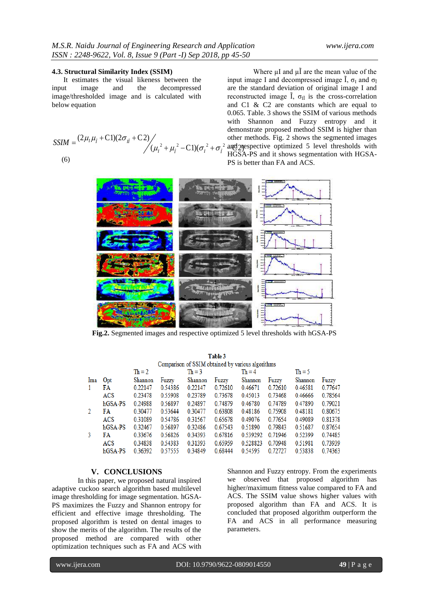# **4.3. Structural Similarity Index (SSIM)**

It estimates the visual likeness between the input image and the decompressed image/thresholded image and is calculated with below equation

$$
SSIM = \frac{(2\mu_1\mu_{\tilde{l}} + C1)(2\sigma_{I\tilde{l}} + C2)}{(\mu_I^2 + \mu_{\tilde{l}}^2 - C1)(\sigma_I^2 + \sigma_{\tilde{l}}^2)} \quad \text{other meth}
$$
\n(6)

other methods. Fig. 2 shows the segmented images<br>  $\sigma_l^2 - C1(\sigma_l^2 + \sigma_l^2)$  and prespective optimized 5 level thresholds with<br>  $\sigma_l^2 + C1(\sigma_l^2 + \sigma_l^2)$  HGSA-PS and it shows segmentation with HGSA-Where  $\mu$ I and  $\mu$ I are the mean value of the input image I and decompressed image  $\tilde{I}$ ,  $\sigma_I$  and  $\sigma_{\tilde{I}}$ are the standard deviation of original image I and reconstructed image  $\tilde{I}$ ,  $\sigma_{\tilde{I} \tilde{I}}$  is the cross-correlation and C1 & C2 are constants which are equal to 0.065. Table. 3 shows the SSIM of various methods with Shannon and Fuzzy entropy and it demonstrate proposed method SSIM is higher than other methods. Fig. 2 shows the segmented images HGSA-PS and it shows segmentation with HGSA-PS is better than FA and ACS.



**Fig.2.** Segmented images and respective optimized 5 level thresholds with hGSA-PS

Takla 2

| 1 аппе э                                          |         |          |         |          |         |          |         |          |         |  |
|---------------------------------------------------|---------|----------|---------|----------|---------|----------|---------|----------|---------|--|
| Comparison of SSIM obtained by various algorithms |         |          |         |          |         |          |         |          |         |  |
|                                                   |         | $Th = 2$ |         | $Th = 3$ |         | $Th = 4$ |         | $Th = 5$ |         |  |
| Ima                                               | Opt     | Shannon  | Fuzzy   | Shannon  | Fuzzy   | Shannon  | Fuzzy   | Shannon  | Fuzzy   |  |
| 1                                                 | FA      | 0.22147  | 0.54386 | 0.22147  | 0.72610 | 0.46671  | 0.72610 | 0.46581  | 0.77647 |  |
|                                                   | ACS     | 0.23478  | 0.55908 | 0.23789  | 0.73678 | 0.45013  | 0.73468 | 0.46666  | 0.78564 |  |
|                                                   | hGSA-PS | 0.24988  | 0.56897 | 0.24897  | 0.74879 | 0.46780  | 0.74789 | 0.47890  | 0.79021 |  |
| 2                                                 | FA      | 0.30477  | 0.53644 | 0.30477  | 0.63808 | 0.48186  | 0.75908 | 0.48181  | 0.80675 |  |
|                                                   | ACS     | 0.31089  | 0.54786 | 0.31567  | 0.65678 | 0.49076  | 0.77654 | 0.49089  | 0.81378 |  |
|                                                   | hGSA-PS | 0.32467  | 0.56897 | 0.32486  | 0.67543 | 0.51890  | 0.79843 | 0.51687  | 0.87654 |  |
| 3                                                 | FA      | 0.33676  | 0.56826 | 0.34393  | 0.67816 | 0.539292 | 0.71946 | 0.52399  | 0.74485 |  |
|                                                   | ACS     | 0.34838  | 0.54383 | 0.31393  | 0.65959 | 0.528823 | 0.70948 | 0.51981  | 0.73939 |  |
|                                                   | hGSA-PS | 0.36392  | 0.57555 | 0.34849  | 0.68444 | 0.54595  | 0.72727 | 0.53838  | 0.74363 |  |
|                                                   |         |          |         |          |         |          |         |          |         |  |

#### **V. CONCLUSIONS**

In this paper, we proposed natural inspired adaptive cuckoo search algorithm based multilevel image thresholding for image segmentation. hGSA-PS maximizes the Fuzzy and Shannon entropy for efficient and effective image thresholding. The proposed algorithm is tested on dental images to show the merits of the algorithm. The results of the proposed method are compared with other optimization techniques such as FA and ACS with Shannon and Fuzzy entropy. From the experiments we observed that proposed algorithm has higher/maximum fitness value compared to FA and ACS. The SSIM value shows higher values with proposed algorithm than FA and ACS. It is concluded that proposed algorithm outperform the FA and ACS in all performance measuring parameters.